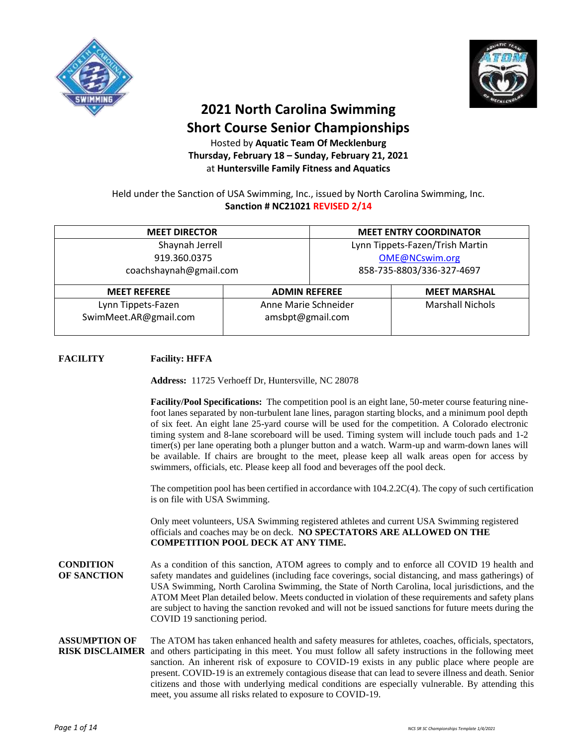



## **2021 North Carolina Swimming Short Course Senior Championships**

Hosted by **Aquatic Team Of Mecklenburg Thursday, February 18 – Sunday, February 21, 2021** at **Huntersville Family Fitness and Aquatics**

Held under the Sanction of USA Swimming, Inc., issued by North Carolina Swimming, Inc. **Sanction # NC21021 REVISED 2/14**

| <b>MEET DIRECTOR</b>   |                      |                                 | <b>MEET ENTRY COORDINATOR</b> |  |
|------------------------|----------------------|---------------------------------|-------------------------------|--|
| Shaynah Jerrell        |                      | Lynn Tippets-Fazen/Trish Martin |                               |  |
| 919.360.0375           |                      | OME@NCswim.org                  |                               |  |
| coachshaynah@gmail.com |                      | 858-735-8803/336-327-4697       |                               |  |
| <b>MEET REFEREE</b>    |                      | <b>ADMIN REFEREE</b>            | <b>MEET MARSHAL</b>           |  |
| Lynn Tippets-Fazen     | Anne Marie Schneider |                                 | <b>Marshall Nichols</b>       |  |
| SwimMeet.AR@gmail.com  | amsbpt@gmail.com     |                                 |                               |  |

### **FACILITY Facility: HFFA**

**Address:** 11725 Verhoeff Dr, Huntersville, NC 28078

**Facility/Pool Specifications:** The competition pool is an eight lane, 50-meter course featuring ninefoot lanes separated by non-turbulent lane lines, paragon starting blocks, and a minimum pool depth of six feet. An eight lane 25-yard course will be used for the competition. A Colorado electronic timing system and 8-lane scoreboard will be used. Timing system will include touch pads and 1-2 timer(s) per lane operating both a plunger button and a watch. Warm-up and warm-down lanes will be available. If chairs are brought to the meet, please keep all walk areas open for access by swimmers, officials, etc. Please keep all food and beverages off the pool deck.

The competition pool has been certified in accordance with 104.2.2C(4). The copy of such certification is on file with USA Swimming.

Only meet volunteers, USA Swimming registered athletes and current USA Swimming registered officials and coaches may be on deck. **NO SPECTATORS ARE ALLOWED ON THE COMPETITION POOL DECK AT ANY TIME.**

**CONDITION OF SANCTION** As a condition of this sanction, ATOM agrees to comply and to enforce all COVID 19 health and safety mandates and guidelines (including face coverings, social distancing, and mass gatherings) of USA Swimming, North Carolina Swimming, the State of North Carolina, local jurisdictions, and the ATOM Meet Plan detailed below. Meets conducted in violation of these requirements and safety plans are subject to having the sanction revoked and will not be issued sanctions for future meets during the COVID 19 sanctioning period.

#### **ASSUMPTION OF RISK DISCLAIMER** and others participating in this meet. You must follow all safety instructions in the following meet The ATOM has taken enhanced health and safety measures for athletes, coaches, officials, spectators, sanction. An inherent risk of exposure to COVID-19 exists in any public place where people are present. COVID-19 is an extremely contagious disease that can lead to severe illness and death. Senior citizens and those with underlying medical conditions are especially vulnerable. By attending this meet, you assume all risks related to exposure to COVID-19.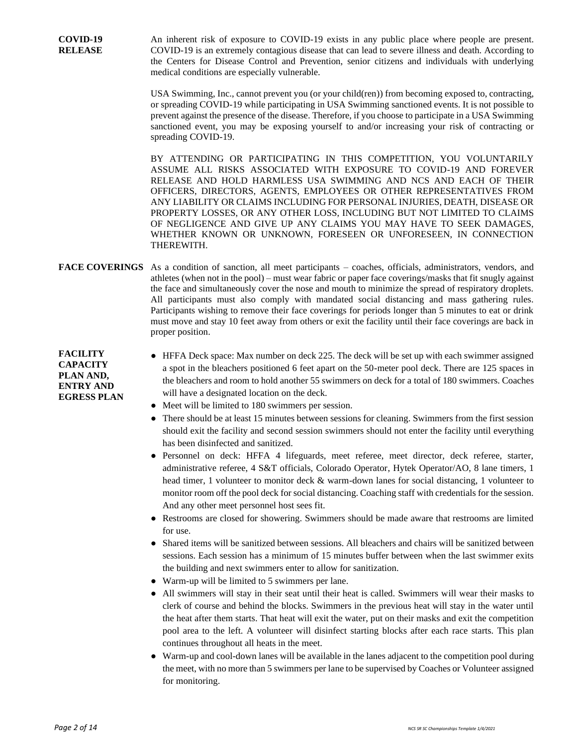An inherent risk of exposure to COVID-19 exists in any public place where people are present. COVID-19 is an extremely contagious disease that can lead to severe illness and death. According to the Centers for Disease Control and Prevention, senior citizens and individuals with underlying medical conditions are especially vulnerable.

USA Swimming, Inc., cannot prevent you (or your child(ren)) from becoming exposed to, contracting, or spreading COVID-19 while participating in USA Swimming sanctioned events. It is not possible to prevent against the presence of the disease. Therefore, if you choose to participate in a USA Swimming sanctioned event, you may be exposing yourself to and/or increasing your risk of contracting or spreading COVID-19.

BY ATTENDING OR PARTICIPATING IN THIS COMPETITION, YOU VOLUNTARILY ASSUME ALL RISKS ASSOCIATED WITH EXPOSURE TO COVID-19 AND FOREVER RELEASE AND HOLD HARMLESS USA SWIMMING AND NCS AND EACH OF THEIR OFFICERS, DIRECTORS, AGENTS, EMPLOYEES OR OTHER REPRESENTATIVES FROM ANY LIABILITY OR CLAIMS INCLUDING FOR PERSONAL INJURIES, DEATH, DISEASE OR PROPERTY LOSSES, OR ANY OTHER LOSS, INCLUDING BUT NOT LIMITED TO CLAIMS OF NEGLIGENCE AND GIVE UP ANY CLAIMS YOU MAY HAVE TO SEEK DAMAGES, WHETHER KNOWN OR UNKNOWN, FORESEEN OR UNFORESEEN, IN CONNECTION THEREWITH.

### **FACE COVERINGS** As a condition of sanction, all meet participants – coaches, officials, administrators, vendors, and athletes (when not in the pool) – must wear fabric or paper face coverings/masks that fit snugly against the face and simultaneously cover the nose and mouth to minimize the spread of respiratory droplets. All participants must also comply with mandated social distancing and mass gathering rules. Participants wishing to remove their face coverings for periods longer than 5 minutes to eat or drink must move and stay 10 feet away from others or exit the facility until their face coverings are back in proper position.

**FACILITY CAPACITY PLAN AND, ENTRY AND EGRESS PLAN**

- HFFA Deck space: Max number on deck 225. The deck will be set up with each swimmer assigned a spot in the bleachers positioned 6 feet apart on the 50-meter pool deck. There are 125 spaces in the bleachers and room to hold another 55 swimmers on deck for a total of 180 swimmers. Coaches will have a designated location on the deck.
- Meet will be limited to 180 swimmers per session.
- There should be at least 15 minutes between sessions for cleaning. Swimmers from the first session should exit the facility and second session swimmers should not enter the facility until everything has been disinfected and sanitized.
- Personnel on deck: HFFA 4 lifeguards, meet referee, meet director, deck referee, starter, administrative referee, 4 S&T officials, Colorado Operator, Hytek Operator/AO, 8 lane timers, 1 head timer, 1 volunteer to monitor deck & warm-down lanes for social distancing, 1 volunteer to monitor room off the pool deck for social distancing. Coaching staff with credentials for the session. And any other meet personnel host sees fit.
- Restrooms are closed for showering. Swimmers should be made aware that restrooms are limited for use.
- Shared items will be sanitized between sessions. All bleachers and chairs will be sanitized between sessions. Each session has a minimum of 15 minutes buffer between when the last swimmer exits the building and next swimmers enter to allow for sanitization.
- Warm-up will be limited to 5 swimmers per lane.
- All swimmers will stay in their seat until their heat is called. Swimmers will wear their masks to clerk of course and behind the blocks. Swimmers in the previous heat will stay in the water until the heat after them starts. That heat will exit the water, put on their masks and exit the competition pool area to the left. A volunteer will disinfect starting blocks after each race starts. This plan continues throughout all heats in the meet.
- Warm-up and cool-down lanes will be available in the lanes adjacent to the competition pool during the meet, with no more than 5 swimmers per lane to be supervised by Coaches or Volunteer assigned for monitoring.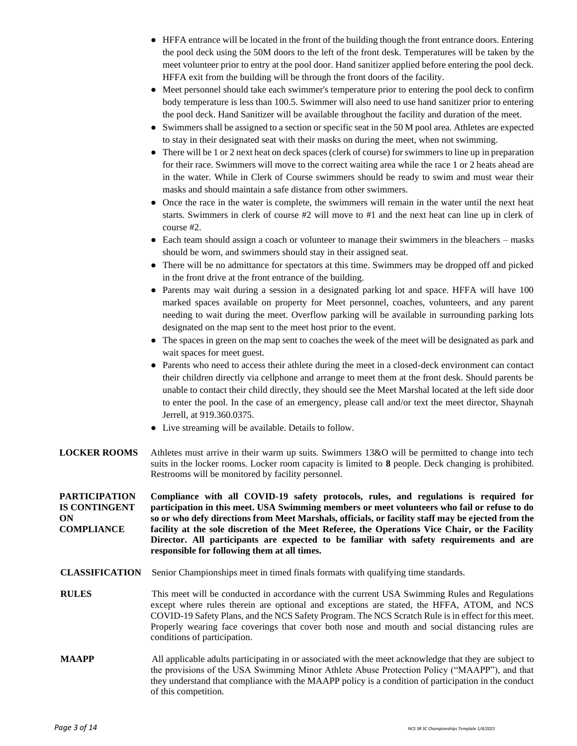- HFFA entrance will be located in the front of the building though the front entrance doors. Entering the pool deck using the 50M doors to the left of the front desk. Temperatures will be taken by the meet volunteer prior to entry at the pool door. Hand sanitizer applied before entering the pool deck. HFFA exit from the building will be through the front doors of the facility.
- Meet personnel should take each swimmer's temperature prior to entering the pool deck to confirm body temperature is less than 100.5. Swimmer will also need to use hand sanitizer prior to entering the pool deck. Hand Sanitizer will be available throughout the facility and duration of the meet.
- Swimmers shall be assigned to a section or specific seat in the 50 M pool area. Athletes are expected to stay in their designated seat with their masks on during the meet, when not swimming.
- There will be 1 or 2 next heat on deck spaces (clerk of course) for swimmers to line up in preparation for their race. Swimmers will move to the correct waiting area while the race 1 or 2 heats ahead are in the water. While in Clerk of Course swimmers should be ready to swim and must wear their masks and should maintain a safe distance from other swimmers.
- Once the race in the water is complete, the swimmers will remain in the water until the next heat starts. Swimmers in clerk of course #2 will move to #1 and the next heat can line up in clerk of course #2.
- Each team should assign a coach or volunteer to manage their swimmers in the bleachers masks should be worn, and swimmers should stay in their assigned seat.
- There will be no admittance for spectators at this time. Swimmers may be dropped off and picked in the front drive at the front entrance of the building.
- Parents may wait during a session in a designated parking lot and space. HFFA will have 100 marked spaces available on property for Meet personnel, coaches, volunteers, and any parent needing to wait during the meet. Overflow parking will be available in surrounding parking lots designated on the map sent to the meet host prior to the event.
- The spaces in green on the map sent to coaches the week of the meet will be designated as park and wait spaces for meet guest.
- Parents who need to access their athlete during the meet in a closed-deck environment can contact their children directly via cellphone and arrange to meet them at the front desk. Should parents be unable to contact their child directly, they should see the Meet Marshal located at the left side door to enter the pool. In the case of an emergency, please call and/or text the meet director, Shaynah Jerrell, at 919.360.0375.
- Live streaming will be available. Details to follow.
- **LOCKER ROOMS** Athletes must arrive in their warm up suits. Swimmers 13&O will be permitted to change into tech suits in the locker rooms. Locker room capacity is limited to **8** people. Deck changing is prohibited. Restrooms will be monitored by facility personnel.

**PARTICIPATION IS CONTINGENT ON COMPLIANCE Compliance with all COVID-19 safety protocols, rules, and regulations is required for participation in this meet. USA Swimming members or meet volunteers who fail or refuse to do so or who defy directions from Meet Marshals, officials, or facility staff may be ejected from the facility at the sole discretion of the Meet Referee, the Operations Vice Chair, or the Facility Director. All participants are expected to be familiar with safety requirements and are responsible for following them at all times.**

- **CLASSIFICATION** Senior Championships meet in timed finals formats with qualifying time standards.
- **RULES** This meet will be conducted in accordance with the current USA Swimming Rules and Regulations except where rules therein are optional and exceptions are stated, the HFFA, ATOM, and NCS COVID-19 Safety Plans, and the NCS Safety Program. The NCS Scratch Rule is in effect for this meet. Properly wearing face coverings that cover both nose and mouth and social distancing rules are conditions of participation.
- **MAAPP** All applicable adults participating in or associated with the meet acknowledge that they are subject to the provisions of the USA Swimming Minor Athlete Abuse Protection Policy ("MAAPP"), and that they understand that compliance with the MAAPP policy is a condition of participation in the conduct of this competition.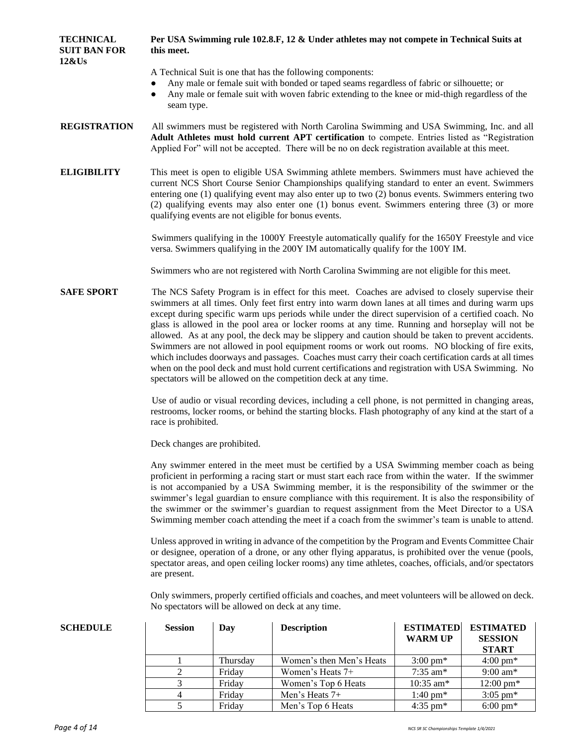| <b>TECHNICAL</b><br><b>SUIT BAN FOR</b><br>12&Us | this meet.                                                                                                                                                                                                                                                                                        |          | Per USA Swimming rule 102.8.F, 12 & Under athletes may not compete in Technical Suits at                                                                                                                                                                                                                                                                                                                                                                                                                                                                                                                                                                                                                                                                                                                                                                                                                     |                                    |                                                    |  |  |
|--------------------------------------------------|---------------------------------------------------------------------------------------------------------------------------------------------------------------------------------------------------------------------------------------------------------------------------------------------------|----------|--------------------------------------------------------------------------------------------------------------------------------------------------------------------------------------------------------------------------------------------------------------------------------------------------------------------------------------------------------------------------------------------------------------------------------------------------------------------------------------------------------------------------------------------------------------------------------------------------------------------------------------------------------------------------------------------------------------------------------------------------------------------------------------------------------------------------------------------------------------------------------------------------------------|------------------------------------|----------------------------------------------------|--|--|
|                                                  | $\bullet$<br>seam type.                                                                                                                                                                                                                                                                           |          | A Technical Suit is one that has the following components:<br>Any male or female suit with bonded or taped seams regardless of fabric or silhouette; or<br>Any male or female suit with woven fabric extending to the knee or mid-thigh regardless of the                                                                                                                                                                                                                                                                                                                                                                                                                                                                                                                                                                                                                                                    |                                    |                                                    |  |  |
| <b>REGISTRATION</b>                              | All swimmers must be registered with North Carolina Swimming and USA Swimming, Inc. and all<br>Adult Athletes must hold current APT certification to compete. Entries listed as "Registration<br>Applied For" will not be accepted. There will be no on deck registration available at this meet. |          |                                                                                                                                                                                                                                                                                                                                                                                                                                                                                                                                                                                                                                                                                                                                                                                                                                                                                                              |                                    |                                                    |  |  |
| <b>ELIGIBILITY</b>                               |                                                                                                                                                                                                                                                                                                   |          | This meet is open to eligible USA Swimming athlete members. Swimmers must have achieved the<br>current NCS Short Course Senior Championships qualifying standard to enter an event. Swimmers<br>entering one (1) qualifying event may also enter up to two (2) bonus events. Swimmers entering two<br>(2) qualifying events may also enter one (1) bonus event. Swimmers entering three (3) or more<br>qualifying events are not eligible for bonus events.                                                                                                                                                                                                                                                                                                                                                                                                                                                  |                                    |                                                    |  |  |
|                                                  |                                                                                                                                                                                                                                                                                                   |          | Swimmers qualifying in the 1000Y Freestyle automatically qualify for the 1650Y Freestyle and vice<br>versa. Swimmers qualifying in the 200Y IM automatically qualify for the 100Y IM.                                                                                                                                                                                                                                                                                                                                                                                                                                                                                                                                                                                                                                                                                                                        |                                    |                                                    |  |  |
|                                                  |                                                                                                                                                                                                                                                                                                   |          | Swimmers who are not registered with North Carolina Swimming are not eligible for this meet.                                                                                                                                                                                                                                                                                                                                                                                                                                                                                                                                                                                                                                                                                                                                                                                                                 |                                    |                                                    |  |  |
| <b>SAFE SPORT</b>                                |                                                                                                                                                                                                                                                                                                   |          | The NCS Safety Program is in effect for this meet. Coaches are advised to closely supervise their<br>swimmers at all times. Only feet first entry into warm down lanes at all times and during warm ups<br>except during specific warm ups periods while under the direct supervision of a certified coach. No<br>glass is allowed in the pool area or locker rooms at any time. Running and horseplay will not be<br>allowed. As at any pool, the deck may be slippery and caution should be taken to prevent accidents.<br>Swimmers are not allowed in pool equipment rooms or work out rooms. NO blocking of fire exits,<br>which includes doorways and passages. Coaches must carry their coach certification cards at all times<br>when on the pool deck and must hold current certifications and registration with USA Swimming. No<br>spectators will be allowed on the competition deck at any time. |                                    |                                                    |  |  |
|                                                  | race is prohibited.                                                                                                                                                                                                                                                                               |          | Use of audio or visual recording devices, including a cell phone, is not permitted in changing areas,<br>restrooms, locker rooms, or behind the starting blocks. Flash photography of any kind at the start of a                                                                                                                                                                                                                                                                                                                                                                                                                                                                                                                                                                                                                                                                                             |                                    |                                                    |  |  |
|                                                  | Deck changes are prohibited.                                                                                                                                                                                                                                                                      |          |                                                                                                                                                                                                                                                                                                                                                                                                                                                                                                                                                                                                                                                                                                                                                                                                                                                                                                              |                                    |                                                    |  |  |
|                                                  |                                                                                                                                                                                                                                                                                                   |          | Any swimmer entered in the meet must be certified by a USA Swimming member coach as being<br>proficient in performing a racing start or must start each race from within the water. If the swimmer<br>is not accompanied by a USA Swimming member, it is the responsibility of the swimmer or the<br>swimmer's legal guardian to ensure compliance with this requirement. It is also the responsibility of<br>the swimmer or the swimmer's guardian to request assignment from the Meet Director to a USA<br>Swimming member coach attending the meet if a coach from the swimmer's team is unable to attend.                                                                                                                                                                                                                                                                                                |                                    |                                                    |  |  |
|                                                  | are present.                                                                                                                                                                                                                                                                                      |          | Unless approved in writing in advance of the competition by the Program and Events Committee Chair<br>or designee, operation of a drone, or any other flying apparatus, is prohibited over the venue (pools,<br>spectator areas, and open ceiling locker rooms) any time athletes, coaches, officials, and/or spectators                                                                                                                                                                                                                                                                                                                                                                                                                                                                                                                                                                                     |                                    |                                                    |  |  |
|                                                  |                                                                                                                                                                                                                                                                                                   |          | Only swimmers, properly certified officials and coaches, and meet volunteers will be allowed on deck.<br>No spectators will be allowed on deck at any time.                                                                                                                                                                                                                                                                                                                                                                                                                                                                                                                                                                                                                                                                                                                                                  |                                    |                                                    |  |  |
| <b>SCHEDULE</b>                                  | <b>Session</b>                                                                                                                                                                                                                                                                                    | Day      | <b>Description</b>                                                                                                                                                                                                                                                                                                                                                                                                                                                                                                                                                                                                                                                                                                                                                                                                                                                                                           | <b>ESTIMATED</b><br><b>WARM UP</b> | <b>ESTIMATED</b><br><b>SESSION</b><br><b>START</b> |  |  |
|                                                  | 1                                                                                                                                                                                                                                                                                                 | Thursday | Women's then Men's Heats                                                                                                                                                                                                                                                                                                                                                                                                                                                                                                                                                                                                                                                                                                                                                                                                                                                                                     | $3:00 \text{ pm*}$                 | $4:00 \text{ pm*}$                                 |  |  |
|                                                  | $\overline{2}$                                                                                                                                                                                                                                                                                    | Friday   | Women's Heats 7+                                                                                                                                                                                                                                                                                                                                                                                                                                                                                                                                                                                                                                                                                                                                                                                                                                                                                             | 7:35 am*                           | $9:00 \text{ am*}$                                 |  |  |

3 Friday Women's Top 6 Heats 10:35 am\* 12:00 pm\* 4 Friday Men's Heats 7+ 1:40 pm\* 3:05 pm\*<br>5 Friday Men's Top 6 Heats 4:35 pm\* 6:00 pm\*

Friday Men's Top 6 Heats 4:35 pm\* 6:00 pm\*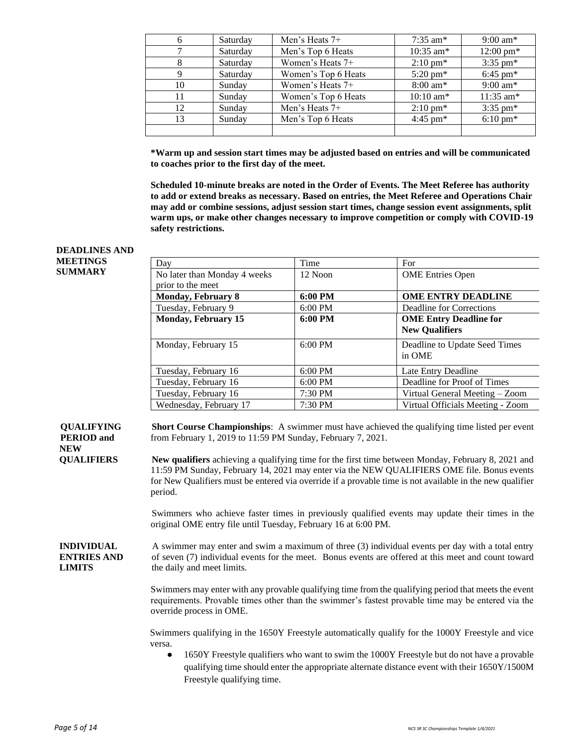| 6  | Saturday | Men's Heats $7+$    | $7:35$ am*          | $9:00 \text{ am*}$  |
|----|----------|---------------------|---------------------|---------------------|
|    | Saturday | Men's Top 6 Heats   | $10:35$ am*         | $12:00 \text{ pm*}$ |
| 8  | Saturday | Women's Heats 7+    | $2:10 \text{ pm}^*$ | $3:35 \text{ pm*}$  |
| 9  | Saturday | Women's Top 6 Heats | $5:20 \text{ pm*}$  | $6:45 \text{ pm*}$  |
| 10 | Sunday   | Women's Heats 7+    | $8:00 \text{ am*}$  | $9:00 \text{ am*}$  |
| 11 | Sunday   | Women's Top 6 Heats | $10:10 \text{ am*}$ | $11:35$ am*         |
| 12 | Sunday   | Men's Heats $7+$    | $2:10 \text{ pm*}$  | $3:35 \text{ pm*}$  |
| 13 | Sunday   | Men's Top 6 Heats   | $4:45 \text{ pm*}$  | $6:10 \text{ pm*}$  |
|    |          |                     |                     |                     |

**\*Warm up and session start times may be adjusted based on entries and will be communicated to coaches prior to the first day of the meet.** 

**Scheduled 10-minute breaks are noted in the Order of Events. The Meet Referee has authority to add or extend breaks as necessary. Based on entries, the Meet Referee and Operations Chair may add or combine sessions, adjust session start times, change session event assignments, split warm ups, or make other changes necessary to improve competition or comply with COVID-19 safety restrictions.**

#### **MEETINGS SUMMARY** Day Time For No later than Monday 4 weeks prior to the meet 12 Noon **OME** Entries Open **Monday, February 8 6:00 PM OME ENTRY DEADLINE** Tuesday, February 9 6:00 PM Deadline for Corrections **Monday, February 15 6:00 PM OME Entry Deadline for New Qualifiers** Monday, February 15 6:00 PM Deadline to Update Seed Times in OME Tuesday, February 16 6:00 PM Late Entry Deadline Tuesday, February 16 6:00 PM Deadline for Proof of Times Tuesday, February 16 7:30 PM Virtual General Meeting – Zoom Wednesday, February 17  $7:30 \text{ PM}$  Virtual Officials Meeting - Zoom **QUALIFYING PERIOD and NEW QUALIFIERS Short Course Championships**: A swimmer must have achieved the qualifying time listed per event from February 1, 2019 to 11:59 PM Sunday, February 7, 2021. **New qualifiers** achieving a qualifying time for the first time between Monday, February 8, 2021 and 11:59 PM Sunday, February 14, 2021 may enter via the NEW QUALIFIERS OME file. Bonus events for New Qualifiers must be entered via override if a provable time is not available in the new qualifier period. Swimmers who achieve faster times in previously qualified events may update their times in the original OME entry file until Tuesday, February 16 at 6:00 PM. **INDIVIDUAL ENTRIES AND LIMITS** A swimmer may enter and swim a maximum of three (3) individual events per day with a total entry of seven (7) individual events for the meet. Bonus events are offered at this meet and count toward the daily and meet limits. Swimmers may enter with any provable qualifying time from the qualifying period that meets the event requirements. Provable times other than the swimmer's fastest provable time may be entered via the override process in OME. Swimmers qualifying in the 1650Y Freestyle automatically qualify for the 1000Y Freestyle and vice versa. 1650Y Freestyle qualifiers who want to swim the 1000Y Freestyle but do not have a provable qualifying time should enter the appropriate alternate distance event with their 1650Y/1500M Freestyle qualifying time.

**DEADLINES AND**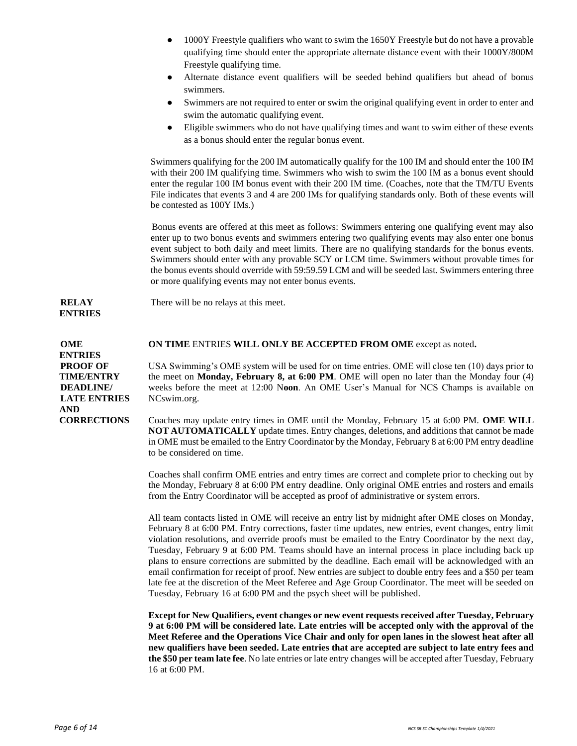- 1000Y Freestyle qualifiers who want to swim the 1650Y Freestyle but do not have a provable qualifying time should enter the appropriate alternate distance event with their 1000Y/800M Freestyle qualifying time.
- Alternate distance event qualifiers will be seeded behind qualifiers but ahead of bonus swimmers.
- Swimmers are not required to enter or swim the original qualifying event in order to enter and swim the automatic qualifying event.
- Eligible swimmers who do not have qualifying times and want to swim either of these events as a bonus should enter the regular bonus event.

Swimmers qualifying for the 200 IM automatically qualify for the 100 IM and should enter the 100 IM with their 200 IM qualifying time. Swimmers who wish to swim the 100 IM as a bonus event should enter the regular 100 IM bonus event with their 200 IM time. (Coaches, note that the TM/TU Events File indicates that events 3 and 4 are 200 IMs for qualifying standards only. Both of these events will be contested as 100Y IMs.)

Bonus events are offered at this meet as follows: Swimmers entering one qualifying event may also enter up to two bonus events and swimmers entering two qualifying events may also enter one bonus event subject to both daily and meet limits. There are no qualifying standards for the bonus events. Swimmers should enter with any provable SCY or LCM time. Swimmers without provable times for the bonus events should override with 59:59.59 LCM and will be seeded last. Swimmers entering three or more qualifying events may not enter bonus events.

#### **RELAY ENTRIES**

**OME ENTRIES PROOF OF TIME/ENTRY DEADLINE/ LATE ENTRIES AND CORRECTIONS**

**ON TIME** ENTRIES **WILL ONLY BE ACCEPTED FROM OME** except as noted**.** 

There will be no relays at this meet.

USA Swimming's OME system will be used for on time entries. OME will close ten (10) days prior to the meet on **Monday, February 8, at 6:00 PM**. OME will open no later than the Monday four (4) weeks before the meet at 12:00 N**oon**. An OME User's Manual for NCS Champs is available on NCswim.org.

Coaches may update entry times in OME until the Monday, February 15 at 6:00 PM. **OME WILL NOT AUTOMATICALLY** update times. Entry changes, deletions, and additions that cannot be made in OME must be emailed to the Entry Coordinator by the Monday, February 8 at 6:00 PM entry deadline to be considered on time.

Coaches shall confirm OME entries and entry times are correct and complete prior to checking out by the Monday, February 8 at 6:00 PM entry deadline. Only original OME entries and rosters and emails from the Entry Coordinator will be accepted as proof of administrative or system errors.

All team contacts listed in OME will receive an entry list by midnight after OME closes on Monday, February 8 at 6:00 PM. Entry corrections, faster time updates, new entries, event changes, entry limit violation resolutions, and override proofs must be emailed to the Entry Coordinator by the next day, Tuesday, February 9 at 6:00 PM. Teams should have an internal process in place including back up plans to ensure corrections are submitted by the deadline. Each email will be acknowledged with an email confirmation for receipt of proof. New entries are subject to double entry fees and a \$50 per team late fee at the discretion of the Meet Referee and Age Group Coordinator. The meet will be seeded on Tuesday, February 16 at 6:00 PM and the psych sheet will be published.

**Except for New Qualifiers, event changes or new event requests received after Tuesday, February 9 at 6:00 PM will be considered late. Late entries will be accepted only with the approval of the Meet Referee and the Operations Vice Chair and only for open lanes in the slowest heat after all new qualifiers have been seeded. Late entries that are accepted are subject to late entry fees and the \$50 per team late fee**. No late entries or late entry changes will be accepted after Tuesday, February 16 at 6:00 PM.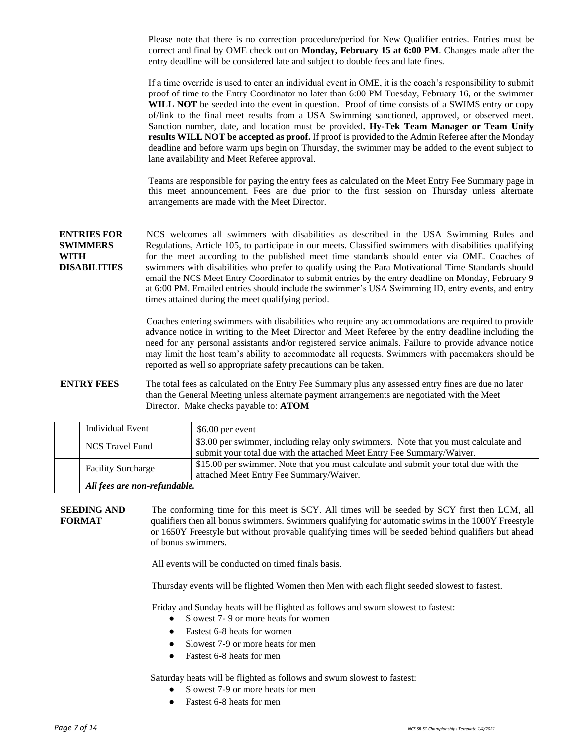Please note that there is no correction procedure/period for New Qualifier entries. Entries must be correct and final by OME check out on **Monday, February 15 at 6:00 PM**. Changes made after the entry deadline will be considered late and subject to double fees and late fines.

If a time override is used to enter an individual event in OME, it is the coach's responsibility to submit proof of time to the Entry Coordinator no later than 6:00 PM Tuesday, February 16, or the swimmer **WILL NOT** be seeded into the event in question. Proof of time consists of a SWIMS entry or copy of/link to the final meet results from a USA Swimming sanctioned, approved, or observed meet. Sanction number, date, and location must be provided**. Hy-Tek Team Manager or Team Unify results WILL NOT be accepted as proof.** If proof is provided to the Admin Referee after the Monday deadline and before warm ups begin on Thursday, the swimmer may be added to the event subject to lane availability and Meet Referee approval.

Teams are responsible for paying the entry fees as calculated on the Meet Entry Fee Summary page in this meet announcement. Fees are due prior to the first session on Thursday unless alternate arrangements are made with the Meet Director.

**ENTRIES FOR SWIMMERS WITH DISABILITIES** NCS welcomes all swimmers with disabilities as described in the USA Swimming Rules and Regulations, Article 105, to participate in our meets. Classified swimmers with disabilities qualifying for the meet according to the published meet time standards should enter via OME. Coaches of swimmers with disabilities who prefer to qualify using the Para Motivational Time Standards should email the NCS Meet Entry Coordinator to submit entries by the entry deadline on Monday, February 9 at 6:00 PM. Emailed entries should include the swimmer's USA Swimming ID, entry events, and entry times attained during the meet qualifying period.

> Coaches entering swimmers with disabilities who require any accommodations are required to provide advance notice in writing to the Meet Director and Meet Referee by the entry deadline including the need for any personal assistants and/or registered service animals. Failure to provide advance notice may limit the host team's ability to accommodate all requests. Swimmers with pacemakers should be reported as well so appropriate safety precautions can be taken.

**ENTRY FEES** The total fees as calculated on the Entry Fee Summary plus any assessed entry fines are due no later than the General Meeting unless alternate payment arrangements are negotiated with the Meet Director. Make checks payable to: **ATOM**

| Individual Event             | \$6.00 per event                                                                                                                                              |
|------------------------------|---------------------------------------------------------------------------------------------------------------------------------------------------------------|
| <b>NCS Travel Fund</b>       | \$3.00 per swimmer, including relay only swimmers. Note that you must calculate and<br>submit your total due with the attached Meet Entry Fee Summary/Waiver. |
| <b>Facility Surcharge</b>    | \$15.00 per swimmer. Note that you must calculate and submit your total due with the<br>attached Meet Entry Fee Summary/Waiver.                               |
| All fees are non-refundable. |                                                                                                                                                               |

**SEEDING AND FORMAT** The conforming time for this meet is SCY. All times will be seeded by SCY first then LCM, all qualifiers then all bonus swimmers. Swimmers qualifying for automatic swims in the 1000Y Freestyle or 1650Y Freestyle but without provable qualifying times will be seeded behind qualifiers but ahead of bonus swimmers.

All events will be conducted on timed finals basis.

Thursday events will be flighted Women then Men with each flight seeded slowest to fastest.

Friday and Sunday heats will be flighted as follows and swum slowest to fastest:

- Slowest 7-9 or more heats for women
- Fastest 6-8 heats for women
- Slowest 7-9 or more heats for men
- Fastest 6-8 heats for men

Saturday heats will be flighted as follows and swum slowest to fastest:

- Slowest 7-9 or more heats for men
- Fastest 6-8 heats for men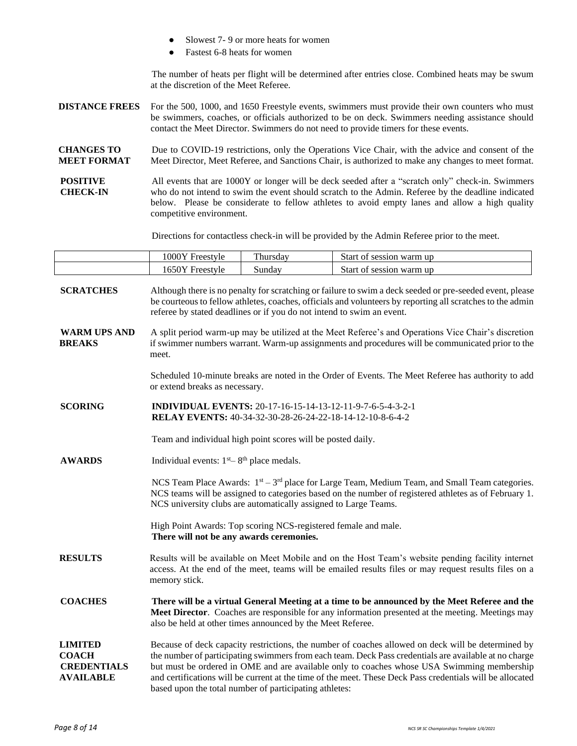|                                                                          | Fastest 6-8 heats for women                                                                                | Slowest 7-9 or more heats for women                                                                                                                                                                                                                                                                                                  |                                                                                                                                                                                                                                                                                                                                                                                                                        |  |  |
|--------------------------------------------------------------------------|------------------------------------------------------------------------------------------------------------|--------------------------------------------------------------------------------------------------------------------------------------------------------------------------------------------------------------------------------------------------------------------------------------------------------------------------------------|------------------------------------------------------------------------------------------------------------------------------------------------------------------------------------------------------------------------------------------------------------------------------------------------------------------------------------------------------------------------------------------------------------------------|--|--|
|                                                                          | at the discretion of the Meet Referee.                                                                     |                                                                                                                                                                                                                                                                                                                                      | The number of heats per flight will be determined after entries close. Combined heats may be swum                                                                                                                                                                                                                                                                                                                      |  |  |
| <b>DISTANCE FREES</b>                                                    |                                                                                                            |                                                                                                                                                                                                                                                                                                                                      | For the 500, 1000, and 1650 Freestyle events, swimmers must provide their own counters who must<br>be swimmers, coaches, or officials authorized to be on deck. Swimmers needing assistance should<br>contact the Meet Director. Swimmers do not need to provide timers for these events.                                                                                                                              |  |  |
| <b>CHANGES TO</b><br><b>MEET FORMAT</b>                                  |                                                                                                            | Due to COVID-19 restrictions, only the Operations Vice Chair, with the advice and consent of the<br>Meet Director, Meet Referee, and Sanctions Chair, is authorized to make any changes to meet format.                                                                                                                              |                                                                                                                                                                                                                                                                                                                                                                                                                        |  |  |
| <b>POSITIVE</b><br><b>CHECK-IN</b>                                       |                                                                                                            | All events that are 1000Y or longer will be deck seeded after a "scratch only" check-in. Swimmers<br>who do not intend to swim the event should scratch to the Admin. Referee by the deadline indicated<br>below. Please be considerate to fellow athletes to avoid empty lanes and allow a high quality<br>competitive environment. |                                                                                                                                                                                                                                                                                                                                                                                                                        |  |  |
|                                                                          |                                                                                                            |                                                                                                                                                                                                                                                                                                                                      | Directions for contactless check-in will be provided by the Admin Referee prior to the meet.                                                                                                                                                                                                                                                                                                                           |  |  |
|                                                                          | 1000Y Freestyle                                                                                            | Thursday                                                                                                                                                                                                                                                                                                                             | Start of session warm up                                                                                                                                                                                                                                                                                                                                                                                               |  |  |
|                                                                          | 1650Y Freestyle                                                                                            | Sunday                                                                                                                                                                                                                                                                                                                               | Start of session warm up                                                                                                                                                                                                                                                                                                                                                                                               |  |  |
| <b>SCRATCHES</b>                                                         | referee by stated deadlines or if you do not intend to swim an event.                                      |                                                                                                                                                                                                                                                                                                                                      | Although there is no penalty for scratching or failure to swim a deck seeded or pre-seeded event, please<br>be courteous to fellow athletes, coaches, officials and volunteers by reporting all scratches to the admin                                                                                                                                                                                                 |  |  |
| <b>WARM UPS AND</b><br><b>BREAKS</b>                                     | meet.                                                                                                      |                                                                                                                                                                                                                                                                                                                                      | A split period warm-up may be utilized at the Meet Referee's and Operations Vice Chair's discretion<br>if swimmer numbers warrant. Warm-up assignments and procedures will be communicated prior to the                                                                                                                                                                                                                |  |  |
|                                                                          | or extend breaks as necessary.                                                                             |                                                                                                                                                                                                                                                                                                                                      | Scheduled 10-minute breaks are noted in the Order of Events. The Meet Referee has authority to add                                                                                                                                                                                                                                                                                                                     |  |  |
| <b>SCORING</b>                                                           | <b>INDIVIDUAL EVENTS:</b> 20-17-16-15-14-13-12-11-9-7-6-5-4-3-2-1                                          | RELAY EVENTS: 40-34-32-30-28-26-24-22-18-14-12-10-8-6-4-2                                                                                                                                                                                                                                                                            |                                                                                                                                                                                                                                                                                                                                                                                                                        |  |  |
|                                                                          |                                                                                                            | Team and individual high point scores will be posted daily.                                                                                                                                                                                                                                                                          |                                                                                                                                                                                                                                                                                                                                                                                                                        |  |  |
| <b>AWARDS</b>                                                            | Individual events: $1st - 8th$ place medals.                                                               |                                                                                                                                                                                                                                                                                                                                      |                                                                                                                                                                                                                                                                                                                                                                                                                        |  |  |
|                                                                          | NCS university clubs are automatically assigned to Large Teams.                                            |                                                                                                                                                                                                                                                                                                                                      | NCS Team Place Awards: $1st - 3rd$ place for Large Team, Medium Team, and Small Team categories.<br>NCS teams will be assigned to categories based on the number of registered athletes as of February 1.                                                                                                                                                                                                              |  |  |
|                                                                          | High Point Awards: Top scoring NCS-registered female and male.<br>There will not be any awards ceremonies. |                                                                                                                                                                                                                                                                                                                                      |                                                                                                                                                                                                                                                                                                                                                                                                                        |  |  |
| <b>RESULTS</b>                                                           | memory stick.                                                                                              |                                                                                                                                                                                                                                                                                                                                      | Results will be available on Meet Mobile and on the Host Team's website pending facility internet<br>access. At the end of the meet, teams will be emailed results files or may request results files on a                                                                                                                                                                                                             |  |  |
| <b>COACHES</b>                                                           | also be held at other times announced by the Meet Referee.                                                 |                                                                                                                                                                                                                                                                                                                                      | There will be a virtual General Meeting at a time to be announced by the Meet Referee and the<br>Meet Director. Coaches are responsible for any information presented at the meeting. Meetings may                                                                                                                                                                                                                     |  |  |
| <b>LIMITED</b><br><b>COACH</b><br><b>CREDENTIALS</b><br><b>AVAILABLE</b> | based upon the total number of participating athletes:                                                     |                                                                                                                                                                                                                                                                                                                                      | Because of deck capacity restrictions, the number of coaches allowed on deck will be determined by<br>the number of participating swimmers from each team. Deck Pass credentials are available at no charge<br>but must be ordered in OME and are available only to coaches whose USA Swimming membership<br>and certifications will be current at the time of the meet. These Deck Pass credentials will be allocated |  |  |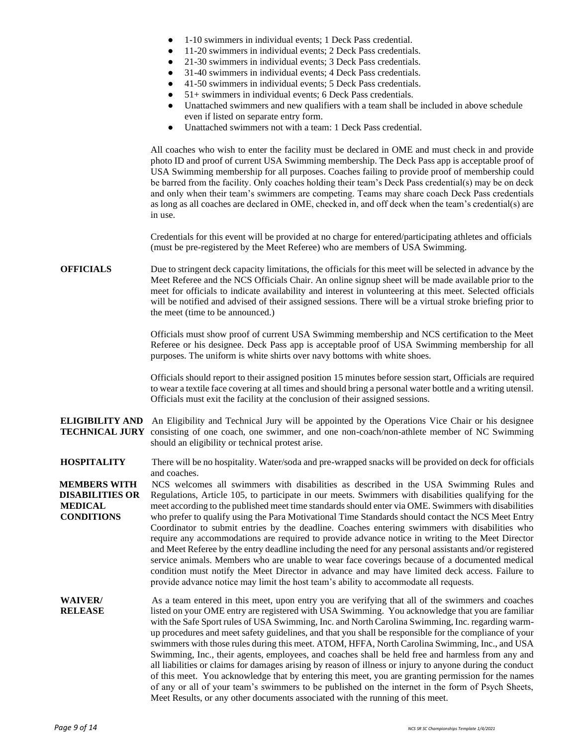- 1-10 swimmers in individual events; 1 Deck Pass credential.
- 11-20 swimmers in individual events; 2 Deck Pass credentials.
- 21-30 swimmers in individual events; 3 Deck Pass credentials.
- 31-40 swimmers in individual events; 4 Deck Pass credentials.
- 41-50 swimmers in individual events; 5 Deck Pass credentials.
- $51+$  swimmers in individual events; 6 Deck Pass credentials.
- Unattached swimmers and new qualifiers with a team shall be included in above schedule even if listed on separate entry form.
- Unattached swimmers not with a team: 1 Deck Pass credential.

All coaches who wish to enter the facility must be declared in OME and must check in and provide photo ID and proof of current USA Swimming membership. The Deck Pass app is acceptable proof of USA Swimming membership for all purposes. Coaches failing to provide proof of membership could be barred from the facility. Only coaches holding their team's Deck Pass credential(s) may be on deck and only when their team's swimmers are competing. Teams may share coach Deck Pass credentials as long as all coaches are declared in OME, checked in, and off deck when the team's credential(s) are in use.

Credentials for this event will be provided at no charge for entered/participating athletes and officials (must be pre-registered by the Meet Referee) who are members of USA Swimming.

**OFFICIALS** Due to stringent deck capacity limitations, the officials for this meet will be selected in advance by the Meet Referee and the NCS Officials Chair. An online signup sheet will be made available prior to the meet for officials to indicate availability and interest in volunteering at this meet. Selected officials will be notified and advised of their assigned sessions. There will be a virtual stroke briefing prior to the meet (time to be announced.)

> Officials must show proof of current USA Swimming membership and NCS certification to the Meet Referee or his designee. Deck Pass app is acceptable proof of USA Swimming membership for all purposes. The uniform is white shirts over navy bottoms with white shoes.

> Officials should report to their assigned position 15 minutes before session start, Officials are required to wear a textile face covering at all times and should bring a personal water bottle and a writing utensil. Officials must exit the facility at the conclusion of their assigned sessions.

- **ELIGIBILITY AND**  An Eligibility and Technical Jury will be appointed by the Operations Vice Chair or his designee **TECHNICAL JURY** consisting of one coach, one swimmer, and one non-coach/non-athlete member of NC Swimming should an eligibility or technical protest arise.
- **HOSPITALITY** There will be no hospitality. Water/soda and pre-wrapped snacks will be provided on deck for officials and coaches.

**MEMBERS WITH DISABILITIES OR MEDICAL CONDITIONS** NCS welcomes all swimmers with disabilities as described in the USA Swimming Rules and Regulations, Article 105, to participate in our meets. Swimmers with disabilities qualifying for the meet according to the published meet time standards should enter via OME. Swimmers with disabilities who prefer to qualify using the Para Motivational Time Standards should contact the NCS Meet Entry Coordinator to submit entries by the deadline. Coaches entering swimmers with disabilities who require any accommodations are required to provide advance notice in writing to the Meet Director and Meet Referee by the entry deadline including the need for any personal assistants and/or registered service animals. Members who are unable to wear face coverings because of a documented medical condition must notify the Meet Director in advance and may have limited deck access. Failure to provide advance notice may limit the host team's ability to accommodate all requests.

**WAIVER/ RELEASE** As a team entered in this meet, upon entry you are verifying that all of the swimmers and coaches listed on your OME entry are registered with USA Swimming. You acknowledge that you are familiar with the Safe Sport rules of USA Swimming, Inc. and North Carolina Swimming, Inc. regarding warmup procedures and meet safety guidelines, and that you shall be responsible for the compliance of your swimmers with those rules during this meet. ATOM, HFFA, North Carolina Swimming, Inc., and USA Swimming, Inc., their agents, employees, and coaches shall be held free and harmless from any and all liabilities or claims for damages arising by reason of illness or injury to anyone during the conduct of this meet. You acknowledge that by entering this meet, you are granting permission for the names of any or all of your team's swimmers to be published on the internet in the form of Psych Sheets, Meet Results, or any other documents associated with the running of this meet.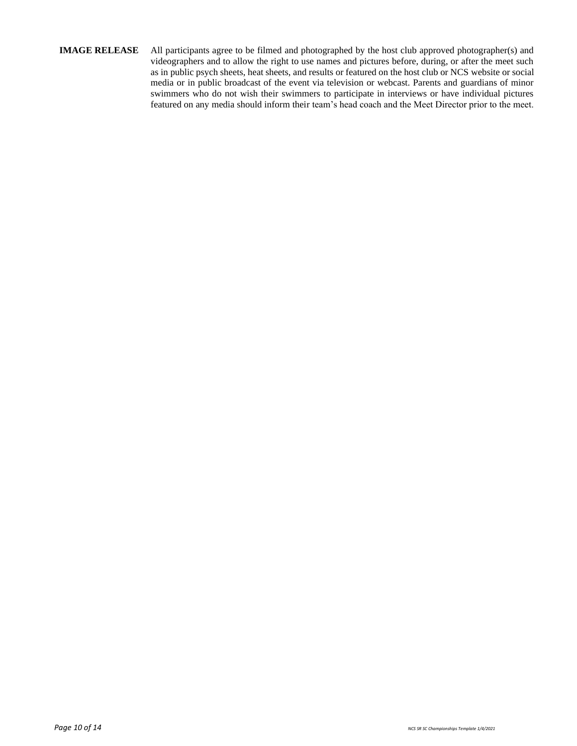### **IMAGE RELEASE** All participants agree to be filmed and photographed by the host club approved photographer(s) and videographers and to allow the right to use names and pictures before, during, or after the meet such as in public psych sheets, heat sheets, and results or featured on the host club or NCS website or social media or in public broadcast of the event via television or webcast. Parents and guardians of minor swimmers who do not wish their swimmers to participate in interviews or have individual pictures featured on any media should inform their team's head coach and the Meet Director prior to the meet.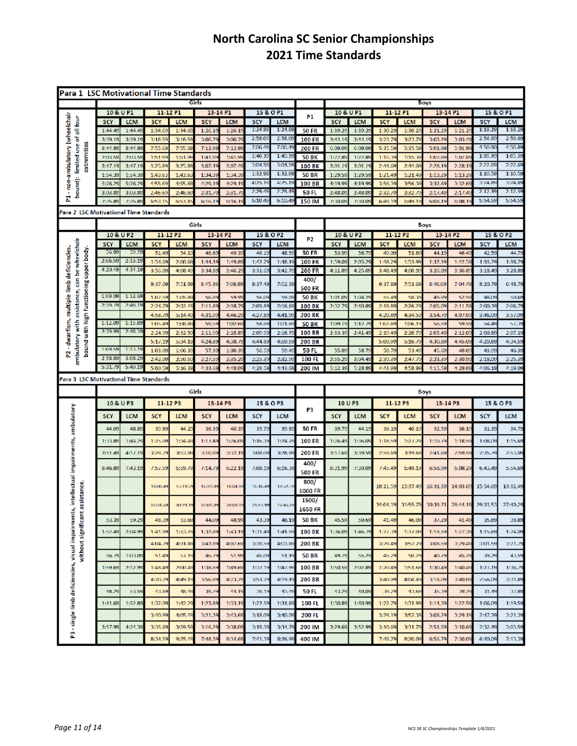## **North Carolina SC Senior Championships 2021 Time Standards**

| Para 1 LSC Motivational Time Standards                                                                                              |                    |                  |                    |                  |                  |                  |                    |                    |                                   |                    |                    |                   |                   |                   |                  |                    |                    |
|-------------------------------------------------------------------------------------------------------------------------------------|--------------------|------------------|--------------------|------------------|------------------|------------------|--------------------|--------------------|-----------------------------------|--------------------|--------------------|-------------------|-------------------|-------------------|------------------|--------------------|--------------------|
|                                                                                                                                     | Girls              |                  |                    |                  |                  |                  | Boys               |                    |                                   |                    |                    |                   |                   |                   |                  |                    |                    |
|                                                                                                                                     | 10 & U P1          |                  | 11-12 P1           |                  | 13-14 P1         |                  | 15 & O P1          |                    | P1                                | 10 & U P1          |                    | 11-12 P1          |                   | 13-14 P1          |                  |                    | 15 & O P1          |
| - non-ambulatory (wheelchair<br>bound): limited use of all four                                                                     | SCY                | <b>LCM</b>       | <b>SCY</b>         | <b>LCM</b>       | <b>SCY</b>       | <b>LCM</b>       | SCY                | <b>LCM</b>         |                                   | SCY                | <b>LCM</b>         | <b>SCY</b>        | <b>LCM</b>        | <b>SCY</b>        | <b>LCM</b>       | <b>SCY</b>         | LCM                |
|                                                                                                                                     | 1:44.49            | 1:44.4           | 1:34.69            | 1:34.6           | 1:26.1           | 1:26.1           | 1:24.89            | 1:24.89            | <b>50 FR</b>                      | 1:39.29            | 1:39.29            | 1:30.29           | 1:30.2            | 1:21.29           | 1:21.2           | 1:18.29            | 1:18.29            |
|                                                                                                                                     | 3:39.19            | 3:39.1           | 3:18.59            | 3:18.5           | 3:00.7           | 3:00.7           | 2:58.09            | 2:58.09            | <b>100 FR</b>                     | 3:44.19            | 3:44.19            | 3:23.79           | 3:23.7            | 3:03.49           | 3:03.4           | 2:56.69            | 2:56.69            |
| extremities                                                                                                                         | 8:44.89            | 8:44.89          | 7:55.69            | 7:55.6           | 7:12.99          | 7:12.99          | 7:06.49            | 7:06.49            | 200 FR                            | 6.09.09            | 6:09.09            | 5:35.59           | 5:35.50           | 5:01.99           | 5:01.9           | 4:50.90            | 4:50.89            |
|                                                                                                                                     | 2:03.59            | 2:03.56          | 1:51.99            | 1:51.9           | 1:41.9           | 1:41.9           | 1:40.39<br>3:04.59 | 1:40.39<br>3:04.59 | 50 BK                             | 1:22.89            | 1:22.89            | 1:15.39           | 1:15.39           | 1:07.89           | 1:07.8           | 1:05.39<br>2:22.69 | 1:05.39<br>2:22.69 |
|                                                                                                                                     | 3:47.19            | 3:47.1           | 3:25.89            | 3:25.89          | 3:07.49          | 3:07.49          | 1:32.99            | 1:32.99            | 100 BK                            | 3:01.19            | 3:01.19            | 2:44.69           | 2:44.6            | 2:28.19           | 2:28.15          | 1:10.59            | 1:10.59            |
|                                                                                                                                     | 1:54.39<br>5:26.29 | 1:54.3<br>5:26.2 | 1:43.6<br>4:55.6   | 1:43.5<br>4:55.6 | 1:34.3<br>4:29.1 | 1:34.3<br>4:29.1 | 4:25.19            | 495.19             | <b>50 BR</b><br>100 <sub>BR</sub> | 1:29.59<br>4.19.99 | 1:29.55<br>4:19.99 | 1:21.49<br>3:56.3 | 1:21.49<br>3:56.3 | 1:13.2<br>3:32.69 | 1:13.2<br>3:32.6 | 3:24.89            | 3:24.89            |
|                                                                                                                                     | 3:03.89            | 3:03.89          | 2:46.69            | 2:46.6           | 2:31.7           | 2.31.7           | 2:29.49            | 2:29.49            | 50 FL                             | 2:48.09            | 2:48.09            | 2:32.79           | 2:32.7            | 2:17.49           | 2:17.4           | 2:12.39            | 2:12.39            |
| Σ                                                                                                                                   | 7:35.89            | 7:35.85          | 653.1              | 653.1            | 6:16.1           | 6:16.1           | 6:10.49            | 6:10.49            | 150 IM                            | 7:30.09            | 7:30.0             | 6:49.1            | 6:49.1            | 6:08.19           | 6:08.1           | 5:54.5!            | 5:54.55            |
| Para 2 LSC Motivational Time Standards                                                                                              |                    |                  |                    |                  |                  |                  |                    |                    |                                   |                    |                    |                   |                   |                   |                  |                    |                    |
|                                                                                                                                     |                    |                  |                    |                  | Girls            |                  |                    |                    |                                   |                    |                    |                   |                   |                   |                  |                    |                    |
|                                                                                                                                     | 10 & U P2          |                  | 11-12 P2           |                  |                  |                  | 15 & O P2          |                    |                                   | 10 & U P2          |                    |                   | 11-12 P2          | Boys              |                  |                    |                    |
|                                                                                                                                     | SCY                | LCM              | SCY                | <b>LCM</b>       | 13-14 P2<br>SCY  | LCM              | SCY                | LCM                | P <sub>2</sub>                    | SCY                | LCM                | SCY               | <b>LCM</b>        | 13-14 P2<br>SCY   | <b>LCM</b>       | <b>SCY</b>         | 15 & O P2<br>LCM   |
|                                                                                                                                     | 56.89              | 59.79            | 51.49              | 54.1             | 46.8             | 49.39            | 46.19              | 48.59              | <b>50 FR</b>                      | 53.99              | 56.7               | 49.09             | 51.6              | 44.19             | 46.49            | 42.55              | 44.79              |
|                                                                                                                                     | 2:06.59            | 2:13.19          | 1:54.69            | 2:00.6           | 1:44.3           | 1:49.8           | 1:42.79            | 1:48.1             | 100 FR                            | 1:59.09            | 2:05.29            | 1:48.29           | 1:53.9            | 1:37.39           | 1:42.5           | 1:33.79            | 1:38.7             |
| ambulatory with assistance, can be wheelchair<br>- dwarfism, multiple limb deficiencies,<br>bound with high functioning upper body. | 4:20.49            | 4:34.19          | 3:56.09            | 4:08.4           | 3:34.8           | 3:46.2           | 3:31.69            | 3:42.79            | 200 FR                            | 4:11.89            | 4:25.09            | 3:48.49           | 4:00.99           | 3:26.09           | 3:36.8           | 3:18.49            | 3:28.89            |
|                                                                                                                                     |                    |                  |                    |                  |                  |                  |                    |                    | 400/                              |                    |                    |                   |                   |                   |                  |                    |                    |
|                                                                                                                                     |                    |                  | 9:37.09            | 7:51.09          | 8:45.39          | 7:08.89          | 8:37.49            | 7:02.39            | <b>500 FR</b>                     |                    |                    | 9:37.89           | 7:51.6            | 8:40.09           | 7:04.49          | 8:20.79            | 6:48.79            |
|                                                                                                                                     | 1:09.09            | 1:12.69          | 1:02.59            | 1:05.89          | 56.9             | 59.9             | 56.09              | 59.0               | <b>50 BK</b>                      | 1:01.05            | 1:04.29            | 55.45             | 58.39             | 49.99             | 52.57            | 48.09              | 50.65              |
|                                                                                                                                     | 2019.79            | 2548.19          | 2:24.79            | 2:32.4           | 2:11.8           | 2:18.79          | 2:09.89            | 2:16.69            | <b>100 BK</b>                     | 2:32.79            | 2:40.89            | 2:18.89           | 2:26.29           | 2:05.09           | 2:11.59          | 2:00.39            | 2:06.79            |
|                                                                                                                                     |                    |                  | 4:58.79            | 5:14.4           | 4:31.9           | 4:46.2           | 4.27.8             | 4:41.9             | 200 BK                            |                    |                    | 4:20.89           | 4:34.5            | 3:54.75           | 4:07.0           | 3:46.09            | 3:57.99            |
|                                                                                                                                     | 1:12.09            | 1:15.89          | 1:05.49            | 1:08.8           | 59.1             | 1:02.6           | 58.6               | 1:01.65            | <b>50 BR</b>                      | 1:09.1             | 1:12.7             | 1:02.89           | 1:06.1            | 56.59             | 59.5             | 54.45              | 57.3               |
|                                                                                                                                     | 2:39.99            | 2:48.39          | 2:24.99            | 2:32.5           | 2:11.9           | 2:18.8           | 2:09.99            | 2:16.79            | <b>100 BR</b>                     | 2:33.39            | 2:41.49            | 2:19.49           | 2:26.7            | 2:05.49           | 2:12.0           | 2:00.89            | 2:07.1             |
|                                                                                                                                     | 1:09.59            | 1:13.1           | 5:17.19            | 5:34.1           | 4:24.8           | 4:38.7           | 4:44.69            | 4:59.59            | <b>200 BR</b>                     |                    |                    | 5:00.99           | 5:16.7            | 4:30.89           | 4:45.0           | 4:20.8             | 4:34.55            |
| 2                                                                                                                                   | 2:58.89            | 3:08.2           | 1:03.09<br>2:42.09 | 1:06.3<br>2:50.5 | 57.3<br>2:27.5   | 1:00.3<br>2:35.2 | 56.59<br>2:25.39   | 59.4<br>2:32.9     | 50 FL<br><b>100 FL</b>            | 55.89<br>2:55.29   | 58.7<br>3:04.49    | 50.79<br>2:39.39  | 53.4<br>2:47.7    | 45.69<br>2:23.39  | 48.0<br>2:30.9   | 43.9<br>2:18.0     | 46.3<br>2:25.39    |
|                                                                                                                                     | 5:31.79            | 5:49.15          | 5:00.59            | 5:16.39          | 4:33.6           | 4:48.0           | 4:29.59            | 4:43.69            | 200 IM                            | 5:12.39            | 5:28.89            | 4:43.99           | 4:58.99           | 4:15.59           | 4:29.0           | 4:06.19            | 4:19.09            |
|                                                                                                                                     |                    |                  |                    |                  |                  |                  |                    |                    |                                   |                    |                    |                   |                   |                   |                  |                    |                    |
| Para 3 LSC Motivational Time Standards                                                                                              |                    |                  |                    |                  |                  |                  |                    |                    |                                   |                    |                    |                   |                   |                   |                  |                    |                    |
|                                                                                                                                     |                    |                  |                    |                  | Girls            |                  |                    |                    |                                   |                    |                    |                   |                   | Boys              |                  |                    |                    |
|                                                                                                                                     | 10 & U P3          |                  | 11-12 P3           |                  | 13-14 P3         |                  | 15 & O P3          |                    | P3                                | 10 U P3            |                    | 11-12 P3          |                   | 13-14 P3          |                  |                    | 15 & O P3          |
| intellectual impairments, ambulatory                                                                                                | <b>SCY</b>         | <b>LCM</b>       | SCY                | <b>LCM</b>       | SCY              | <b>LCM</b>       | SCY                | <b>LCM</b>         |                                   | <b>SCY</b>         | <b>LCM</b>         | SCY               | LCM               | SCY               | <b>LCM</b>       | SCY                | <b>LCM</b>         |
|                                                                                                                                     | 44.09              | 48.89            | 39.89              | 44.29            | 36.39            | 40.39            | 35.79              | 39.69              | <b>50 FR</b>                      | 39.79              | 44.19              | 36.19             | 40.19             | 32.59             | 36.1             | 31.39              | 34.79              |
|                                                                                                                                     | 1:33.89            | 1:44.2           | 1:25.09            | 1:34.4           | 1:17.4           | 1:26.0           | 1:16.39            | 1:24.7             | 100 FR                            | 1.26.49            | 1:36.09            | 1:18.59           | 19728             | 1:10.79           | 1:18.5/          | 1:08.09            | 1:15.65            |
|                                                                                                                                     | 3:51.49            | 4.17.19          | 3:29.79            | 3:53.0           | 3:10.9           | 3:32.1           | 3:08.09            | 3:28.95            | 200 FR                            | 3:17.69            | 3:39.56            | 259.65            | 3:19.6            | 2:41.69           | 2:59.5           | 25B.B              | 2:53.09            |
|                                                                                                                                     |                    |                  |                    |                  |                  |                  |                    |                    | 400/                              |                    |                    |                   |                   |                   |                  |                    |                    |
|                                                                                                                                     | 8:46.89            | 1.43.19          | 727.59             | 6:59.79          | 7347             | 6:22.19          | 7:08.19            | 6:16.39            | <b>500 FR</b>                     | 8:31.99            | 7:30.09            | 7:45.45           | 6:49.19           | 6:58.99           | 6:08.29          | 6:43.49            | 5:54.69            |
|                                                                                                                                     |                    |                  |                    |                  |                  |                  |                    |                    | 800/                              |                    |                    |                   |                   |                   |                  |                    |                    |
|                                                                                                                                     |                    |                  | 18:00.45           | 15:19.5          | 1637.0           | 14:04.35         | 16:18.49           | 1332.7             | 1000 FR                           |                    |                    | 18:21.59          | 15:37.49          | 16:31.39          | 14:03.69         | 15:54.69           | 13:32.49           |
|                                                                                                                                     |                    |                  |                    |                  |                  |                  |                    |                    | 1500/                             |                    |                    |                   |                   |                   |                  |                    |                    |
|                                                                                                                                     |                    |                  | 32:31.69           | 30:29.19         | 30301.09         | 28:08.19         | 29:37.99           | 27:46.39           | 1650 FR                           |                    |                    | 34:04.19          | 31:55.79          | 30:39.71          | 28:44.19         | 29:31.53           | 27:40.29           |
| without significant assistance.                                                                                                     | 53.39              | 59.29            | 48.39              | 53.65            | 44.09            | 48.99            | 43.39              | 48.19              | <b>50 BK</b>                      | 45.59              | 50.69              | 41.49             | 46.0°             | 37.29             | 41.49            | 35.89              | 39.89              |
|                                                                                                                                     | 1:52.49            | 2:04.99          | 1:41.99            | 1:53.2           | 1:32.8           | 1:43.19          | 1:31.49            | 1:41.55            | 100 BK                            | 1:36.09            | 1:46.7             | 1:27.39           | 1:37.09           | 1:18.59           | 1:27.38          | 1:15.65            | 1:24.09            |
|                                                                                                                                     |                    |                  |                    |                  |                  |                  |                    |                    |                                   |                    |                    |                   |                   |                   |                  |                    |                    |
|                                                                                                                                     |                    |                  | 4:04.79            | 4:31.89          | 3:42.99          | 4:07.69          | 3:39.59            | 4:03.89            | 200 BK                            |                    |                    | 3:29.49           | 152.7             | 3:08.59           | 3:29.49          | 3:01.59            | 391.79             |
|                                                                                                                                     | 56.79              | 1:03.09          | 51.49              | 57.1             | 46.7             | 51.99            | 46.09              | 51.19              | 50 BR                             | 49.79              | 55.25              | 45.29             | 50.29             | 40.79             | 45.25            | 39.29              | 43.59              |
| P3 - single limb deficiencies, visual impairments                                                                                   | 1:59.69            | 2:12.99          | 1:48.49            | 2:00.4           | 1:38.69          | 1:49.6           | 1:37.19            | 1:47.95            | <b>100 BR</b>                     | 1:50.59            | 2:02.89            | 1:20.49           | 1:51.69           | 1:30.49           | 1:40.49          | 197.19             | 1:36.79            |
|                                                                                                                                     |                    |                  | 4:20.25            | 4:49.1           | 3:56.9           | 493.2            | 3:53.29            | 4:19.19            | 200 BR                            |                    |                    | 3:40.09           | 4:04.49           | 3:18.09           | 3:40.0           | 256.0              | 3:31.89            |
|                                                                                                                                     |                    |                  |                    |                  |                  |                  |                    |                    |                                   |                    |                    |                   |                   |                   |                  |                    |                    |
|                                                                                                                                     | 48.29              | 53.59            | 43.69              | 48.49            | 39.7             | 44.19            | 39.19              | 43.49              | <b>50 FL</b>                      | 43.29              | 48.09              | 39.29             | 43.69             | 35.39             | 39.2             | 31.49              | 37.89              |
|                                                                                                                                     | 1:41.69            | 1:52.89          | 1:32.09            | 1:42.2           | 1:23.89          | 1:33.1           | 1:22.59            | 1:31.69            | 100 FL                            | 1:30.89            | 1:40.99            | 1:22.79           | 1:31.99           | 1:14.39           | 1:22.59          | 1:06.09            | 1:19.59            |
|                                                                                                                                     |                    |                  | 3:40.99            | 4:05.4           | 3:21.39          | 3:43.69          | 3:18.09            | 3:40.09            | 200 FL                            |                    |                    | 3:29.19           | 3:52.39           | 3:08.29           | 3:29.1           | 2:47.39            | 3:21.39            |
|                                                                                                                                     | 3:57.99            | 4:24.39          | 3:35.69            | 3:59.5           | 3:16.29          | 3:38.09          | 3:19.39            | 3:34.79            | 200 IM                            | 3:29.69            | 3:52.99            | 3:10.69           | 3:31.7            | 2:51.59           | 3:10.6           | 2:32.49            | 3:03.59            |
|                                                                                                                                     |                    |                  |                    |                  |                  |                  |                    |                    |                                   |                    |                    |                   |                   |                   |                  |                    |                    |
|                                                                                                                                     |                    |                  | 8:34.59            | 9:25.4           | 7:48.39          | 8:34.69          | 7:41.39            | 8:26.99            | 400 IM                            |                    |                    | 7:46.79           | 8:20.0            | 6:56.79           | 7:30.0           | 6:40.09            | 7:13.39            |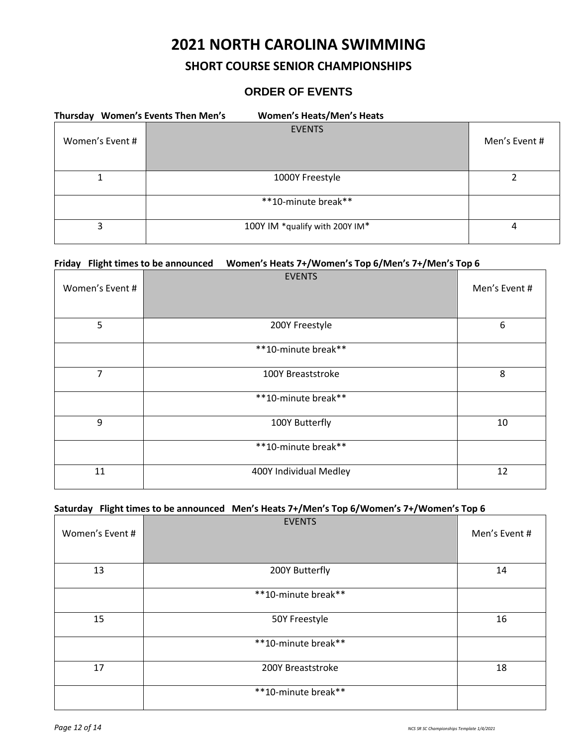# **2021 NORTH CAROLINA SWIMMING**

## **SHORT COURSE SENIOR CHAMPIONSHIPS**

## **ORDER OF EVENTS**

| Thursday Women's Events Then Men's | <b>Women's Heats/Men's Heats</b> |               |
|------------------------------------|----------------------------------|---------------|
| Women's Event #                    | <b>EVENTS</b>                    | Men's Event # |
|                                    | 1000Y Freestyle                  |               |
|                                    | **10-minute break**              |               |
| 3                                  | 100Y IM *qualify with 200Y IM*   | 4             |

### **Friday Flight times to be announced Women's Heats 7+/Women's Top 6/Men's 7+/Men's Top 6**

| Women's Event # | <b>EVENTS</b>          | Men's Event # |
|-----------------|------------------------|---------------|
| 5               | 200Y Freestyle         | 6             |
|                 | **10-minute break**    |               |
| 7               | 100Y Breaststroke      | 8             |
|                 | **10-minute break**    |               |
| 9               | 100Y Butterfly         | 10            |
|                 | **10-minute break**    |               |
| 11              | 400Y Individual Medley | 12            |

### **Saturday Flight times to be announced Men's Heats 7+/Men's Top 6/Women's 7+/Women's Top 6**

| Women's Event # | <b>EVENTS</b>       | Men's Event # |
|-----------------|---------------------|---------------|
| 13              | 200Y Butterfly      | 14            |
|                 | **10-minute break** |               |
| 15              | 50Y Freestyle       | 16            |
|                 | **10-minute break** |               |
| 17              | 200Y Breaststroke   | 18            |
|                 | **10-minute break** |               |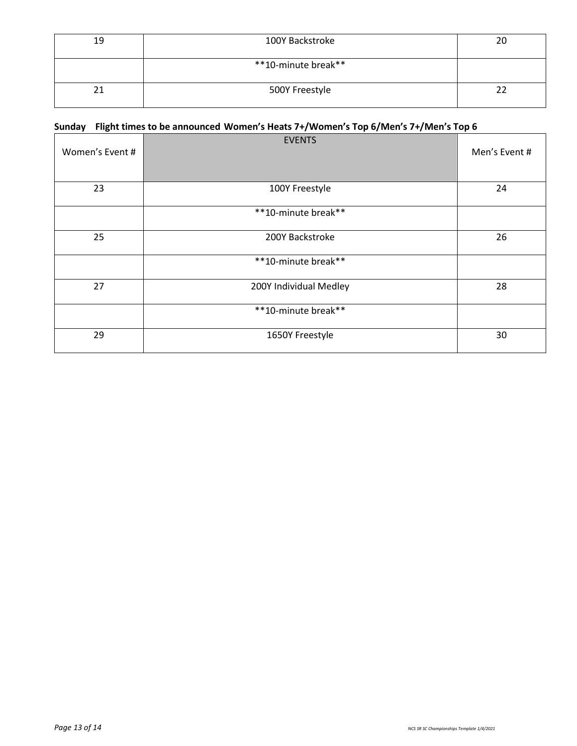| 19 | 100Y Backstroke     | 20 |
|----|---------------------|----|
|    | **10-minute break** |    |
| ↑∙ | 500Y Freestyle      |    |

## **Sunday Flight times to be announced Women's Heats 7+/Women's Top 6/Men's 7+/Men's Top 6**

| Women's Event # | <b>EVENTS</b>          | Men's Event # |
|-----------------|------------------------|---------------|
| 23              | 100Y Freestyle         | 24            |
|                 | **10-minute break**    |               |
| 25              | 200Y Backstroke        | 26            |
|                 | **10-minute break**    |               |
| 27              | 200Y Individual Medley | 28            |
|                 | **10-minute break**    |               |
| 29              | 1650Y Freestyle        | 30            |